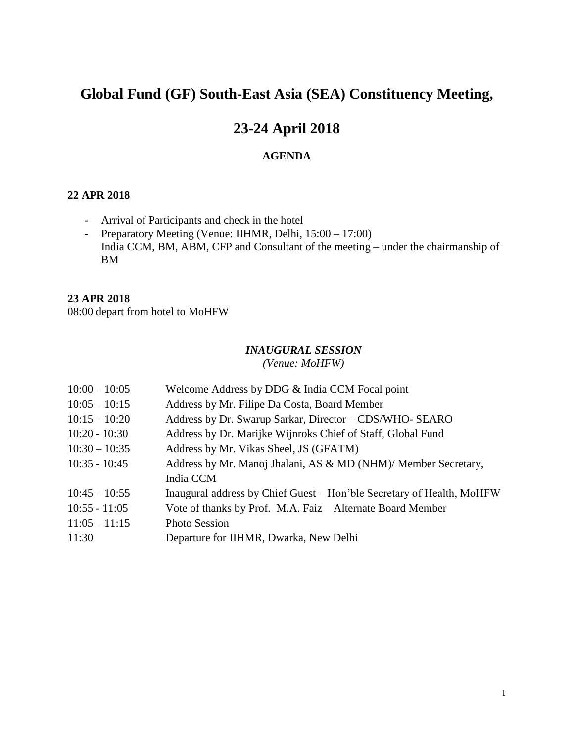## **Global Fund (GF) South-East Asia (SEA) Constituency Meeting,**

# **23-24 April 2018**

### **AGENDA**

#### **22 APR 2018**

- Arrival of Participants and check in the hotel
- Preparatory Meeting (Venue: IIHMR, Delhi, 15:00 17:00) India CCM, BM, ABM, CFP and Consultant of the meeting – under the chairmanship of BM

#### **23 APR 2018**

08:00 depart from hotel to MoHFW

#### *INAUGURAL SESSION (Venue: MoHFW)*

| Welcome Address by DDG & India CCM Focal point                        |
|-----------------------------------------------------------------------|
| Address by Mr. Filipe Da Costa, Board Member                          |
| Address by Dr. Swarup Sarkar, Director - CDS/WHO- SEARO               |
| Address by Dr. Marijke Wijnroks Chief of Staff, Global Fund           |
| Address by Mr. Vikas Sheel, JS (GFATM)                                |
| Address by Mr. Manoj Jhalani, AS & MD (NHM)/ Member Secretary,        |
| India CCM                                                             |
| Inaugural address by Chief Guest – Hon'ble Secretary of Health, MoHFW |
| Vote of thanks by Prof. M.A. Faiz Alternate Board Member              |
| <b>Photo Session</b>                                                  |
| Departure for IIHMR, Dwarka, New Delhi                                |
|                                                                       |